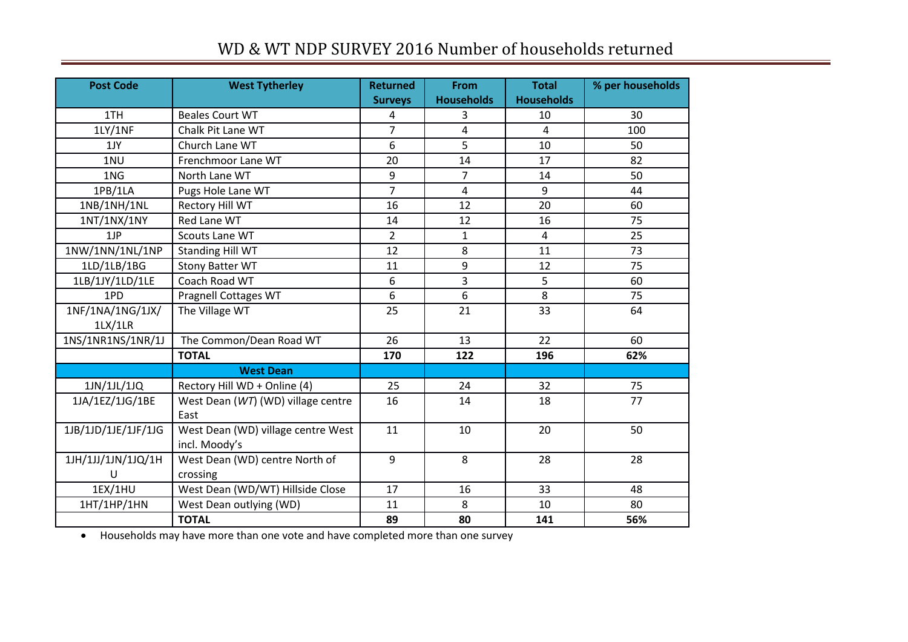## WD & WT NDP SURVEY 2016 Number of households returned

| <b>Post Code</b>    | <b>West Tytherley</b>                               | <b>Returned</b><br><b>Surveys</b> | <b>From</b><br><b>Households</b> | <b>Total</b><br><b>Households</b> | % per households |
|---------------------|-----------------------------------------------------|-----------------------------------|----------------------------------|-----------------------------------|------------------|
| 1TH                 | <b>Beales Court WT</b>                              | 4                                 | 3                                | 10                                | 30               |
| 1LY/1NF             | Chalk Pit Lane WT                                   | $\overline{7}$                    | 4                                | 4                                 | 100              |
| 1JY                 | Church Lane WT                                      | 6                                 | 5                                | 10                                | 50               |
| 1NU                 | Frenchmoor Lane WT                                  | 20                                | 14                               | 17                                | 82               |
| 1NG                 | North Lane WT                                       | 9                                 | $\overline{7}$                   | 14                                | 50               |
| 1PB/1LA             | Pugs Hole Lane WT                                   | $\overline{7}$                    | $\overline{4}$                   | 9                                 | 44               |
| 1NB/1NH/1NL         | Rectory Hill WT                                     | 16                                | 12                               | 20                                | 60               |
| 1NT/1NX/1NY         | <b>Red Lane WT</b>                                  | 14                                | 12                               | 16                                | 75               |
| 1JP                 | Scouts Lane WT                                      | $\overline{2}$                    | $\mathbf{1}$                     | $\overline{4}$                    | 25               |
| 1NW/1NN/1NL/1NP     | <b>Standing Hill WT</b>                             | 12                                | 8                                | 11                                | 73               |
| 1LD/1LB/1BG         | <b>Stony Batter WT</b>                              | 11                                | 9                                | 12                                | 75               |
| 1LB/1JY/1LD/1LE     | Coach Road WT                                       | 6                                 | 3                                | 5                                 | 60               |
| 1PD                 | Pragnell Cottages WT                                | 6                                 | 6                                | 8                                 | 75               |
| 1NF/1NA/1NG/1JX/    | The Village WT                                      | 25                                | 21                               | 33                                | 64               |
| $1$ LX/ $1$ LR      |                                                     |                                   |                                  |                                   |                  |
| 1NS/1NR1NS/1NR/1J   | The Common/Dean Road WT                             | 26                                | 13                               | 22                                | 60               |
|                     | <b>TOTAL</b>                                        | 170                               | 122                              | 196                               | 62%              |
|                     | <b>West Dean</b>                                    |                                   |                                  |                                   |                  |
| 1JN/1JL/1JQ         | Rectory Hill WD + Online (4)                        | 25                                | 24                               | 32                                | 75               |
| 1JA/1EZ/1JG/1BE     | West Dean (WT) (WD) village centre<br>East          | 16                                | 14                               | 18                                | 77               |
| 1JB/1JD/1JE/1JF/1JG | West Dean (WD) village centre West<br>incl. Moody's | 11                                | 10                               | 20                                | 50               |
| 1JH/1JJ/1JN/1JQ/1H  | West Dean (WD) centre North of                      | 9                                 | 8                                | 28                                | 28               |
| U                   | crossing                                            |                                   |                                  |                                   |                  |
| 1EX/1HU             | West Dean (WD/WT) Hillside Close                    | 17                                | 16                               | 33                                | 48               |
| 1HT/1HP/1HN         | West Dean outlying (WD)                             | 11                                | 8                                | 10                                | 80               |
|                     | <b>TOTAL</b>                                        | 89                                | 80                               | 141                               | 56%              |

Households may have more than one vote and have completed more than one survey